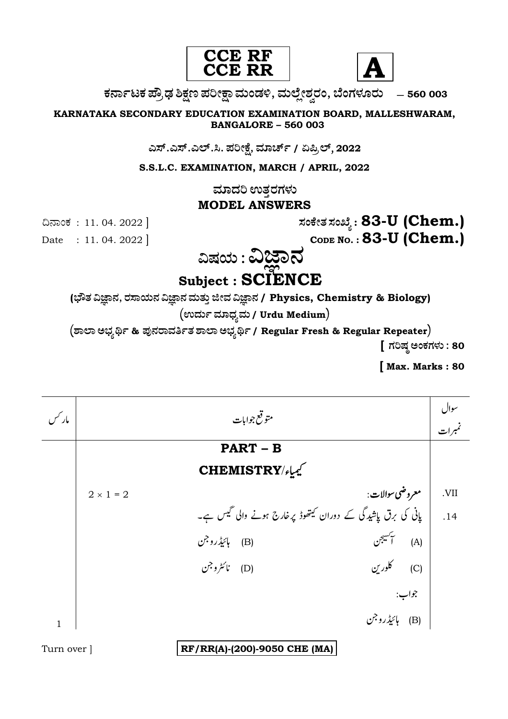



ಕರ್ನಾಟಕ ಪ್ರೌಢ ಶಿಕ್ಷಣ ಪರೀಕ್ಷಾ ಮಂಡಳಿ, ಮಲ್ಲೇಶ್ವರಂ, ಬೆಂಗಳೂರು – 560 003

KARNATAKA SECONDARY EDUCATION EXAMINATION BOARD, MALLESHWARAM, **BANGALORE - 560 003** 

ಎಸ್.ಎಸ್.ಎಲ್.ಸಿ. ಪರೀಕ್ಷೆ, ಮಾರ್ಚ್ / ಏಪ್ರಿಲ್, 2022

S.S.L.C. EXAMINATION, MARCH / APRIL, 2022

ಮಾದರಿ ಉತ್ತರಗಳು

## **MODEL ANSWERS**

ಸಂಕೇತ ಸಂಖ್ಯೆ : 83-U (Chem.) CODE NO.: 83-U (Chem.)

ದಿನಾಂಕ: 11.04.2022 ]

Date: 11.04.2022

ವಿಷಯ : ವಿಜ್ಞಾನ Subject : SCIENCE

(ಭೌತ ವಿಜ್ಞಾನ, ರಸಾಯನ ವಿಜ್ಞಾನ ಮತ್ತು ಜೀವ ವಿಜ್ಞಾನ / Physics, Chemistry & Biology)

(ಉರ್ದು ಮಾಧ್ಯಮ / Urdu Medium)

(ಶಾಲಾ ಅಭ್ಯರ್ಥಿ & ಪುನರಾವರ್ತಿತ ಶಾಲಾ ಅಭ್ಯರ್ಥಿ / Regular Fresh & Regular Repeater)

[ ಗರಿಷ್ಠ ಅಂಕಗಳು : 80

Max. Marks: 80

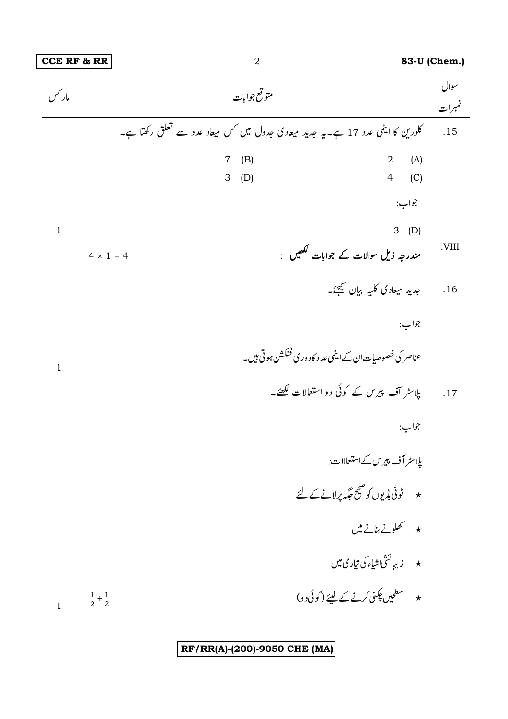## **CCE RF & RR** 2 **83-U (Chem.) 83-U** (Chem.)

| مار حس       | متوقع جوابات                                                                     | سوال<br>تمبرات |
|--------------|----------------------------------------------------------------------------------|----------------|
|              | کلورین کا ایٹمی عدد 17 ہے۔یہ جدید میعادی جدول میں کس میعاد عدد سے تعلق رکھتا ہے۔ | .15            |
|              | (A)<br>(B)<br>$\overline{2}$<br>7<br>$\overline{4}$<br>(C)<br>3<br>(D)           |                |
|              | جواب:                                                                            |                |
| $\mathbf{1}$ | $3$ (D)<br>مندرجہ ذیل سوالات کے جوابات لکھیں :<br>$4 \times 1 = 4$               | .VIII          |
|              | جدید میعادی کلیه بیان کیچئے۔                                                     | .16            |
|              | جواب:                                                                            |                |
| $\mathbf{1}$ | عناصر کی خصوصیات ان کے ایٹمی عد د کاد ور کی فنکشن ہو تی ہیں۔                     |                |
|              | پلاسٹر آف پیرس کے کوئی دو استعالات لکھئے۔                                        | .17            |
|              | جواب:                                                                            |                |
|              | پلاسٹر آف پیرس کے استعمالات:                                                     |                |
|              | ★ گوٹی ہڈیوں کو صحیح جگہ پرلانے کے لئے                                           |                |
|              | $\star$ کھلونے بنانے میں                                                         |                |
|              | * زيبائشْ(شياءكى تيارى ميں                                                       |                |
| $\mathbf{1}$ | * سطحیں چکنی کرنے کے لیئے (کوئی دو)<br>$\frac{1}{2} + \frac{1}{2}$               |                |

**RF/RR(A)-(200)-9050 CHE (MA)**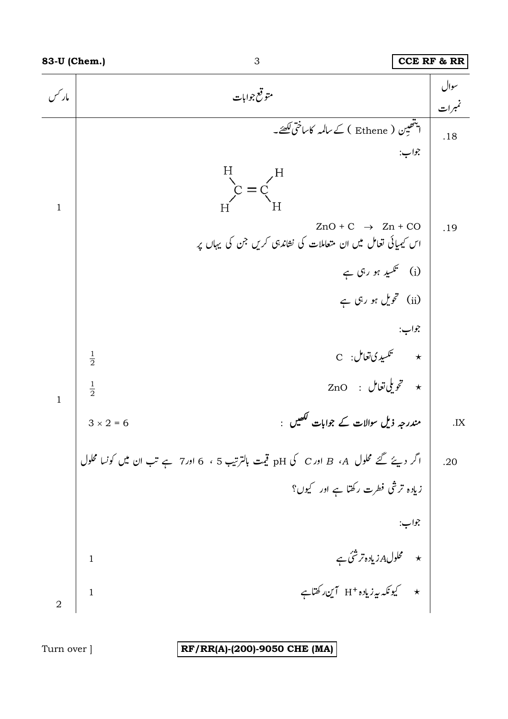

3

RF/RR(A)-(200)-9050 CHE (MA)

Turn over ]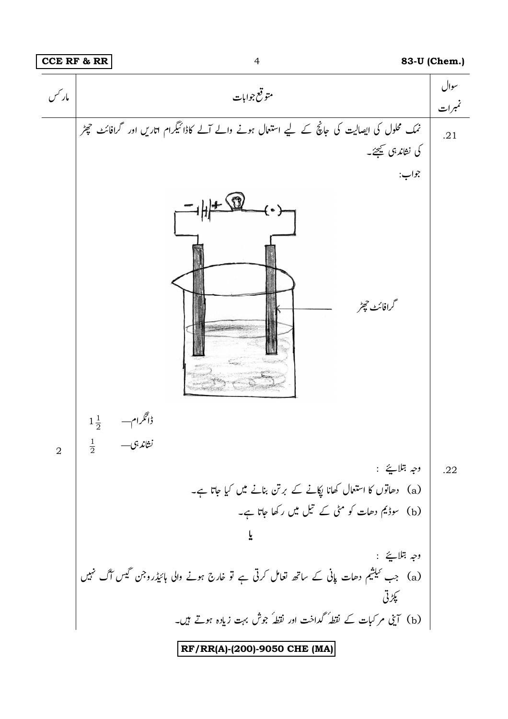

 $\overline{4}$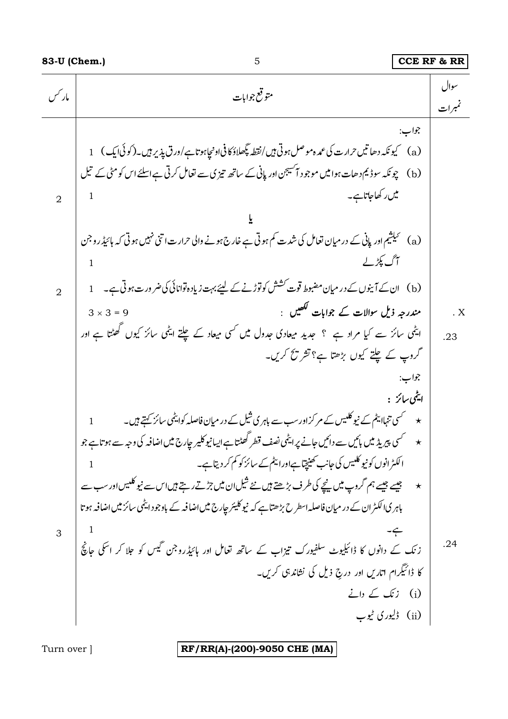| مار کس                           | متوقع جوابات                                                                                                                                                                                                                                                                                                                                                                                                                                                                  | سوال<br>تمبرات |
|----------------------------------|-------------------------------------------------------------------------------------------------------------------------------------------------------------------------------------------------------------------------------------------------------------------------------------------------------------------------------------------------------------------------------------------------------------------------------------------------------------------------------|----------------|
| $\overline{2}$<br>$\overline{2}$ | جواب:<br>(b) چونکہ سوڈیم دھات ہوا میں موجود آنسیجن اور پانی کے ساتھ تیزی سے تعامل کرتی ہے اسلئے اس کو مٹی کے تیل<br>میں رکھاجاتاہے۔<br>(a) گیلشیم اور پانی کے در میان تعامل کی شدت کم ہوتی ہے خارج ہونے والی حرارت اتنی نہیں ہوتی کہ ہائیڈروجن<br>آگ پکڑ لے<br>1<br>مندرجہ ذیل سوالات کے جوابات لکھیں  :<br>$3 \times 3 = 9$                                                                                                                                                  | . X            |
|                                  | ایٹمی سائز سے کیا مراد ہے ؟ جدید میعادی جدول میں کسی میعاد کے چلتے ایٹمی سائز کیوں گھٹتا ہے اور<br>گروپ کے چلتے کیوں بڑھتا ہے؟ تشریح کریں۔<br>جواب:<br>ايٹمی سائز :<br>★ مسمحسی تنہاا پٹم کے نیو کلیس کے مرکزاور سب سے باہر ی شیل کے در میان فاصلہ کوایٹمی سائز کہتے ہیں۔<br>★ مسلمک پیریڈ میں بائیں سے دائیں جانے پرایٹمی نصف قطر کھٹتا ہے ایسانیوکلیر جارج میں اضافہ کی وجہ سے ہوتا ہے جو<br>الکٹرانوں کو نیو کلیس کی جانب کھینچتاہےاورا بیٹم کے سائز کو کم کر دیتاہے۔<br>1 | .23            |
| 3                                | ★ میں جیسے ہیں ہم گروپ میں پیچے کی طرف بڑھتے ہیں نئے شیل <sub>ا</sub> ن میں جڑتے رہتے ہیں اس سے نیو کلبیں اور سب سے<br>باہر کیاا کیٹر ان کے در میان فاصلہ اسطرح بڑھتا ہے کہ نیوکلیئر جارج میں اضافہ کے باوجود ایٹمی سائز میں اضافہ ہوتا<br>زنک کے دانوں کا ڈائیلیوٹ سلفیورک تیزاب کے ساتھ تعامل اور ہائیڈروجن گیس کو جلا کر اسکی جانچ<br>کا ڈائیگرام اتاریں اور درج ذیل کی نشاندہی کریں۔<br>$i)$ $\leq$ $(i)$<br>(ii) ڈلیوری ٹیوب                                             | .24            |

 $\overline{5}$ 

RF/RR(A)-(200)-9050 CHE (MA)

Turn over ]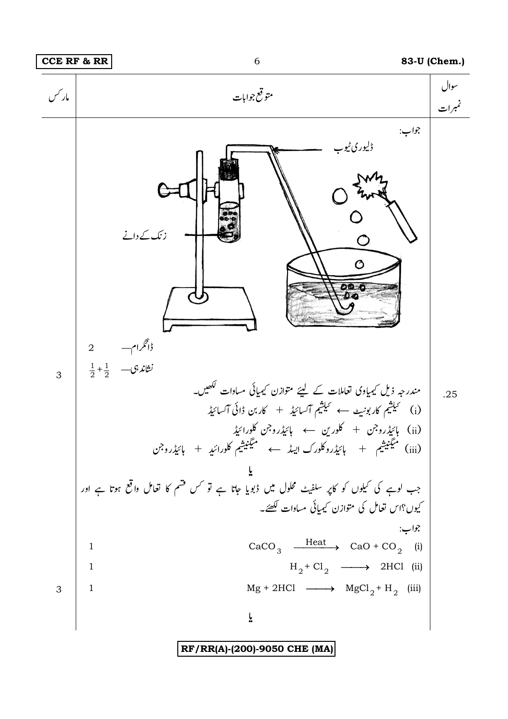

RF/RR(A)-(200)-9050 CHE (MA)

6

## 83-U (Chem.)